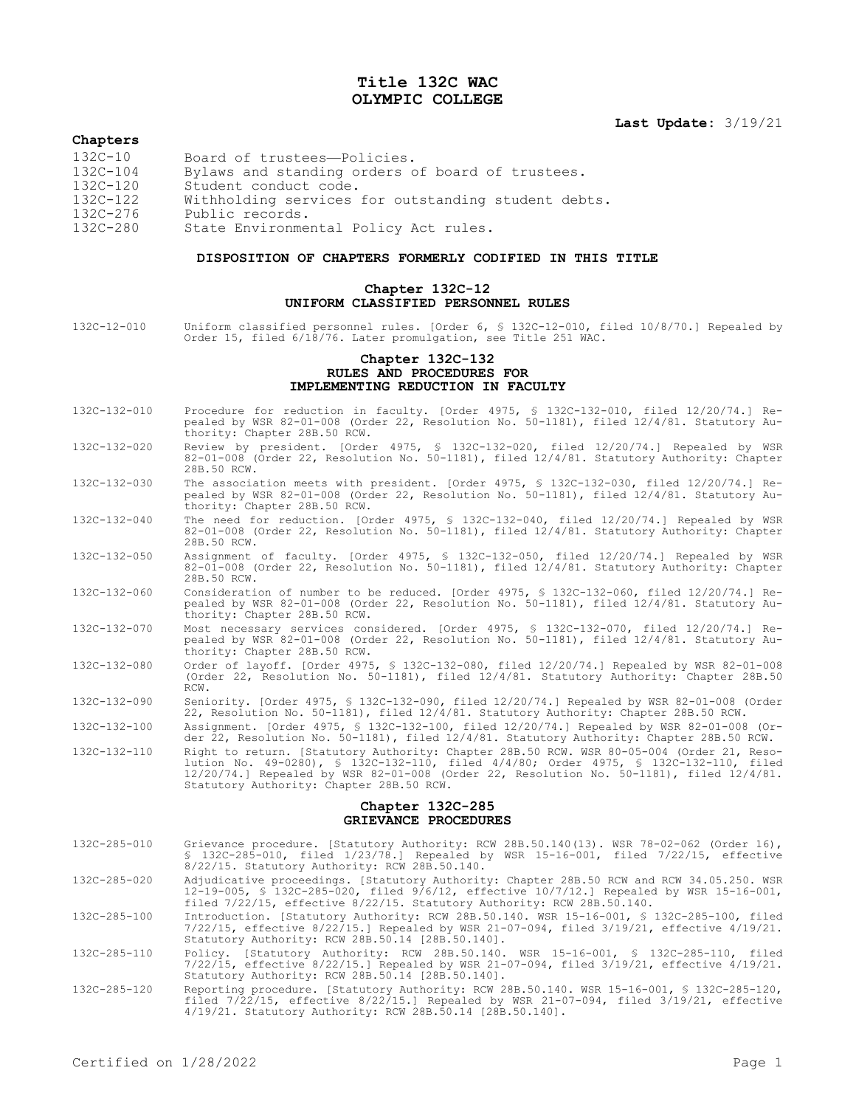# **Title 132C WAC OLYMPIC COLLEGE**

# **Last Update:** 3/19/21

## **Chapters**

| $132C - 10$  | Board of trustees-Policies.                         |
|--------------|-----------------------------------------------------|
| $132C - 104$ | Bylaws and standing orders of board of trustees.    |
| $132C - 120$ | Student conduct code.                               |
| $132C - 122$ | Withholding services for outstanding student debts. |
| $132C - 276$ | Public records.                                     |
| 132C-280     | State Environmental Policy Act rules.               |

#### **DISPOSITION OF CHAPTERS FORMERLY CODIFIED IN THIS TITLE**

### **Chapter 132C-12 UNIFORM CLASSIFIED PERSONNEL RULES**

132C-12-010 Uniform classified personnel rules. [Order 6, § 132C-12-010, filed 10/8/70.] Repealed by Order 15, filed 6/18/76. Later promulgation, see Title 251 WAC.

# **Chapter 132C-132 RULES AND PROCEDURES FOR IMPLEMENTING REDUCTION IN FACULTY**

- 132C-132-010 Procedure for reduction in faculty. [Order 4975, § 132C-132-010, filed 12/20/74.] Repealed by WSR 82-01-008 (Order 22, Resolution No. 50-1181), filed 12/4/81. Statutory Authority: Chapter 28B.50 RCW.
- 132C-132-020 Review by president. [Order 4975, § 132C-132-020, filed 12/20/74.] Repealed by WSR 82-01-008 (Order 22, Resolution No. 50-1181), filed 12/4/81. Statutory Authority: Chapter 28B.50 RCW.
- 132C-132-030 The association meets with president. [Order 4975, § 132C-132-030, filed 12/20/74.] Repealed by WSR 82-01-008 (Order 22, Resolution No. 50-1181), filed 12/4/81. Statutory Authority: Chapter 28B.50 RCW.
- 132C-132-040 The need for reduction. [Order 4975, § 132C-132-040, filed 12/20/74.] Repealed by WSR 82-01-008 (Order 22, Resolution No. 50-1181), filed 12/4/81. Statutory Authority: Chapter 28B.50 RCW.
- 132C-132-050 Assignment of faculty. [Order 4975, § 132C-132-050, filed 12/20/74.] Repealed by WSR 82-01-008 (Order 22, Resolution No. 50-1181), filed 12/4/81. Statutory Authority: Chapter 28B.50 RCW.
- 132C-132-060 Consideration of number to be reduced. [Order 4975, § 132C-132-060, filed 12/20/74.] Repealed by WSR 82-01-008 (Order 22, Resolution No. 50-1181), filed 12/4/81. Statutory Authority: Chapter 28B.50 RCW.
- 132C-132-070 Most necessary services considered. [Order 4975, § 132C-132-070, filed 12/20/74.] Repealed by WSR 82-01-008 (Order 22, Resolution No. 50-1181), filed 12/4/81. Statutory Authority: Chapter 28B.50 RCW.
- 132C-132-080 Order of layoff. [Order 4975, § 132C-132-080, filed 12/20/74.] Repealed by WSR 82-01-008 (Order 22, Resolution No. 50-1181), filed 12/4/81. Statutory Authority: Chapter 28B.50 RCW.
- 132C-132-090 Seniority. [Order 4975, § 132C-132-090, filed 12/20/74.] Repealed by WSR 82-01-008 (Order 22, Resolution No. 50-1181), filed 12/4/81. Statutory Authority: Chapter 28B.50 RCW.
- 132C-132-100 Assignment. [Order 4975, § 132C-132-100, filed 12/20/74.] Repealed by WSR 82-01-008 (Order 22, Resolution No. 50-1181), filed 12/4/81. Statutory Authority: Chapter 28B.50 RCW.
- 132C-132-110 Right to return. [Statutory Authority: Chapter 28B.50 RCW. WSR 80-05-004 (Order 21, Resolution No. 49-0280), § 132C-132-110, filed 4/4/80; Order 4975, § 132C-132-110, filed 12/20/74.] Repealed by WSR 82-01-008 (Order 22, Resolution No. 50-1181), filed 12/4/81. Statutory Authority: Chapter 28B.50 RCW.

### **Chapter 132C-285 GRIEVANCE PROCEDURES**

- 132C-285-010 Grievance procedure. [Statutory Authority: RCW 28B.50.140(13). WSR 78-02-062 (Order 16), § 132C-285-010, filed 1/23/78.] Repealed by WSR 15-16-001, filed 7/22/15, effective 8/22/15. Statutory Authority: RCW 28B.50.140.
- 132C-285-020 Adjudicative proceedings. [Statutory Authority: Chapter 28B.50 RCW and RCW 34.05.250. WSR 12-19-005, § 132C-285-020, filed 9/6/12, effective 10/7/12.] Repealed by WSR 15-16-001, filed 7/22/15, effective 8/22/15. Statutory Authority: RCW 28B.50.140.
- 132C-285-100 Introduction. [Statutory Authority: RCW 28B.50.140. WSR 15-16-001, \$ 132C-285-100, filed<br>7/22/15, effective 8/22/15.] Repealed by WSR 21-07-094, filed 3/19/21, effective 4/19/21.<br>Statutory Authority: RCW 28B.5
- 132C-285-110 Policy. [Statutory Authority: RCW 28B.50.140. WSR 15-16-001, § 132C-285-110, filed 7/22/15, effective 8/22/15.] Repealed by WSR 21-07-094, filed 3/19/21, effective 4/19/21. Statutory Authority: RCW 28B.50.14 [28B.50.140].
- 132C-285-120 Reporting procedure. [Statutory Authority: RCW 28B.50.140. WSR 15-16-001, § 132C-285-120, filed 7/22/15, effective 8/22/15.] Repealed by WSR 21-07-094, filed 3/19/21, effective 4/19/21. Statutory Authority: RCW 28B.50.14 [28B.50.140].